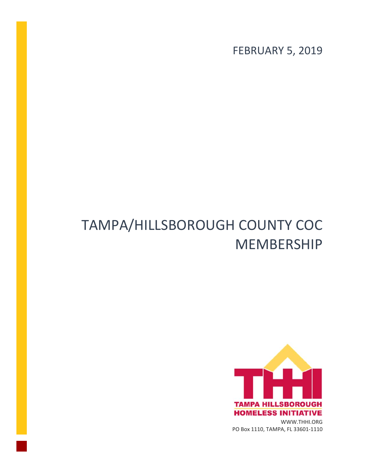FEBRUARY 5, 2019

## TAMPA/HILLSBOROUGH COUNTY COC MEMBERSHIP

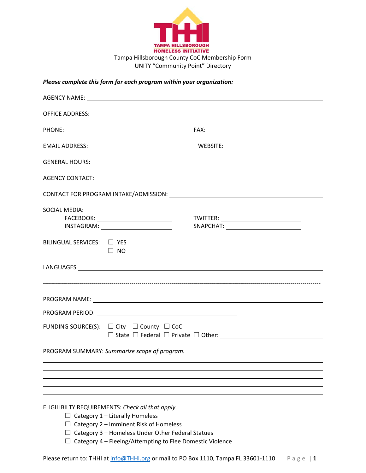

UNITY "Community Point" Directory

## *Please complete this form for each program within your organization:*

| OFFICE ADDRESS: A CONSEQUENCE OF A CONSEQUENCE OF A CONSEQUENCE OF A CONSEQUENCE OF A CONSEQUENCE OF A CONSEQUENCE OF A CONSEQUENCE OF A CONSEQUENCE OF A CONSEQUENCE OF A CONSEQUENCE OF A CONSEQUENCE OF A CONSEQUENCE OF A                          |                                             |
|--------------------------------------------------------------------------------------------------------------------------------------------------------------------------------------------------------------------------------------------------------|---------------------------------------------|
|                                                                                                                                                                                                                                                        |                                             |
|                                                                                                                                                                                                                                                        |                                             |
|                                                                                                                                                                                                                                                        |                                             |
|                                                                                                                                                                                                                                                        |                                             |
|                                                                                                                                                                                                                                                        |                                             |
| <b>SOCIAL MEDIA:</b>                                                                                                                                                                                                                                   | TWITTER: __________________________________ |
| BILINGUAL SERVICES: D YES<br>$\Box$ NO                                                                                                                                                                                                                 |                                             |
|                                                                                                                                                                                                                                                        |                                             |
|                                                                                                                                                                                                                                                        |                                             |
|                                                                                                                                                                                                                                                        |                                             |
| FUNDING SOURCE(S): $\Box$ City $\Box$ County $\Box$ CoC                                                                                                                                                                                                |                                             |
| PROGRAM SUMMARY: Summarize scope of program.                                                                                                                                                                                                           |                                             |
|                                                                                                                                                                                                                                                        |                                             |
|                                                                                                                                                                                                                                                        |                                             |
| ELIGILIBILTY REQUIREMENTS: Check all that apply.<br>$\Box$ Category 1 – Literally Homeless<br>Category 2 - Imminent Risk of Homeless<br>Category 3 - Homeless Under Other Federal Statues<br>Category 4 - Fleeing/Attempting to Flee Domestic Violence |                                             |